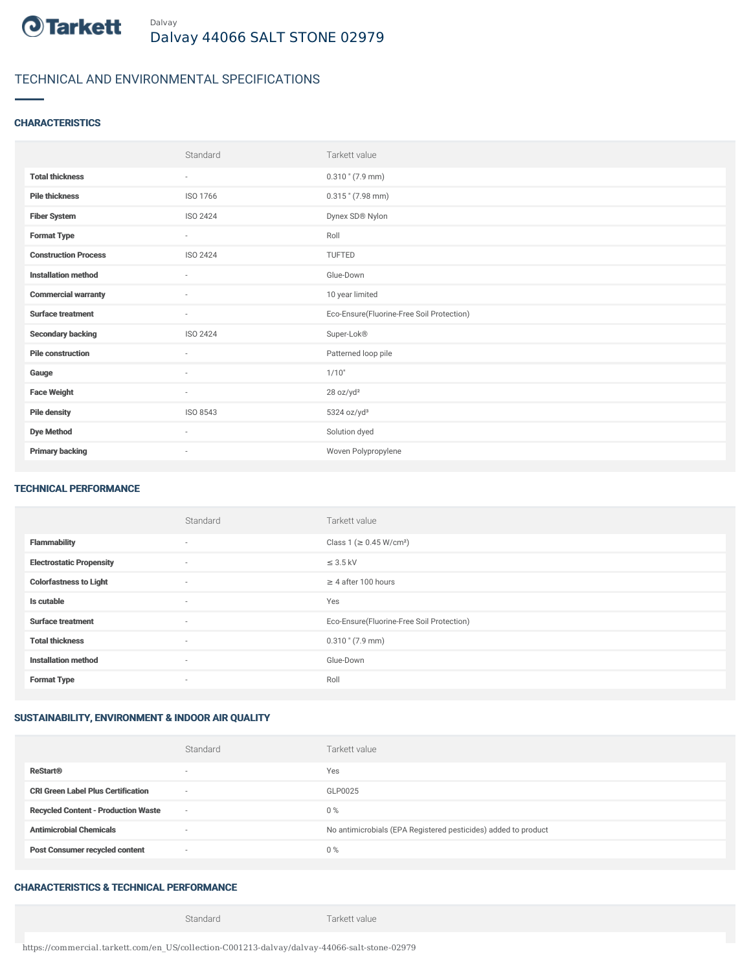

# TECHNICAL AND ENVIRONMENTAL SPECIFICATIONS

### **CHARACTERISTICS**

|                             | Standard                 | Tarkett value                             |
|-----------------------------|--------------------------|-------------------------------------------|
| <b>Total thickness</b>      | $\sim$                   | $0.310$ " (7.9 mm)                        |
| <b>Pile thickness</b>       | ISO 1766                 | $0.315$ " (7.98 mm)                       |
| <b>Fiber System</b>         | <b>ISO 2424</b>          | Dynex SD® Nylon                           |
| <b>Format Type</b>          | $\overline{\phantom{a}}$ | Roll                                      |
| <b>Construction Process</b> | ISO 2424                 | TUFTED                                    |
| <b>Installation method</b>  | $\sim$                   | Glue-Down                                 |
| <b>Commercial warranty</b>  | ×                        | 10 year limited                           |
| <b>Surface treatment</b>    | ٠                        | Eco-Ensure(Fluorine-Free Soil Protection) |
| <b>Secondary backing</b>    | ISO 2424                 | Super-Lok®                                |
| <b>Pile construction</b>    | $\sim$                   | Patterned loop pile                       |
| Gauge                       | $\sim$                   | 1/10"                                     |
| <b>Face Weight</b>          | $\overline{\phantom{a}}$ | 28 oz/yd <sup>2</sup>                     |
| <b>Pile density</b>         | ISO 8543                 | 5324 oz/yd <sup>3</sup>                   |
| <b>Dye Method</b>           | ٠                        | Solution dyed                             |
| <b>Primary backing</b>      | $\sim$                   | Woven Polypropylene                       |

#### TECHNICAL PERFORMANCE

|                                 | Standard       | Tarkett value                             |
|---------------------------------|----------------|-------------------------------------------|
| <b>Flammability</b>             | $\sim$         | Class 1 (≥ 0.45 W/cm <sup>2</sup> )       |
| <b>Electrostatic Propensity</b> | $\overline{a}$ | $\leq$ 3.5 kV                             |
| <b>Colorfastness to Light</b>   | $\sim$         | $\geq$ 4 after 100 hours                  |
| Is cutable                      | $\sim$         | Yes                                       |
| <b>Surface treatment</b>        | $\sim$         | Eco-Ensure(Fluorine-Free Soil Protection) |
| <b>Total thickness</b>          | $\sim$         | $0.310$ " (7.9 mm)                        |
| <b>Installation method</b>      | $\sim$         | Glue-Down                                 |
| <b>Format Type</b>              | $\sim$         | Roll                                      |

## SUSTAINABILITY, ENVIRONMENT & INDOOR AIR QUALITY

|                                            | Standard                 | Tarkett value                                                  |
|--------------------------------------------|--------------------------|----------------------------------------------------------------|
| <b>ReStart®</b>                            | $\overline{\phantom{a}}$ | Yes                                                            |
| <b>CRI Green Label Plus Certification</b>  | $\sim$                   | GLP0025                                                        |
| <b>Recycled Content - Production Waste</b> | $\sim$                   | $0\%$                                                          |
| <b>Antimicrobial Chemicals</b>             |                          | No antimicrobials (EPA Registered pesticides) added to product |
| <b>Post Consumer recycled content</b>      | $\sim$                   | $0\%$                                                          |

## CHARACTERISTICS & TECHNICAL PERFORMANCE

Standard Tarkett value